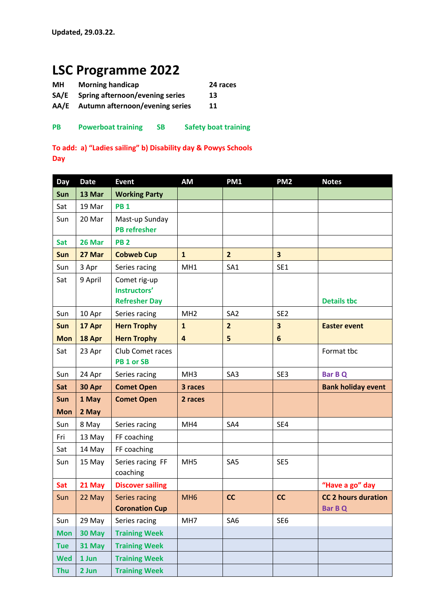## **LSC Programme 2022**

| MН | <b>Morning handicap</b> | 24 races |
|----|-------------------------|----------|
|----|-------------------------|----------|

**SA/E Spring afternoon/evening series 13** 

- **AA/E Autumn afternoon/evening series 11**
- **PB Powerboat training SB Safety boat training**

**To add: a) "Ladies sailing" b) Disability day & Powys Schools Day** 

| Day        | <b>Date</b> | <b>Event</b>                                         | <b>AM</b>       | PM1             | PM <sub>2</sub>         | <b>Notes</b>                                 |
|------------|-------------|------------------------------------------------------|-----------------|-----------------|-------------------------|----------------------------------------------|
| Sun        | 13 Mar      | <b>Working Party</b>                                 |                 |                 |                         |                                              |
| Sat        | 19 Mar      | <b>PB1</b>                                           |                 |                 |                         |                                              |
| Sun        | 20 Mar      | Mast-up Sunday<br><b>PB refresher</b>                |                 |                 |                         |                                              |
| <b>Sat</b> | 26 Mar      | <b>PB2</b>                                           |                 |                 |                         |                                              |
| Sun        | 27 Mar      | <b>Cobweb Cup</b>                                    | $\mathbf{1}$    | $\overline{2}$  | $\overline{\mathbf{3}}$ |                                              |
| Sun        | 3 Apr       | Series racing                                        | MH1             | SA1             | SE1                     |                                              |
| Sat        | 9 April     | Comet rig-up<br>Instructors'<br><b>Refresher Day</b> |                 |                 |                         | <b>Details tbc</b>                           |
| Sun        | 10 Apr      | Series racing                                        | MH <sub>2</sub> | SA <sub>2</sub> | SE <sub>2</sub>         |                                              |
| Sun        | 17 Apr      | <b>Hern Trophy</b>                                   | $\mathbf{1}$    | $\overline{2}$  | 3                       | <b>Easter event</b>                          |
| <b>Mon</b> | 18 Apr      | <b>Hern Trophy</b>                                   | 4               | 5               | $6\phantom{1}$          |                                              |
| Sat        | 23 Apr      | Club Comet races<br>PB <sub>1</sub> or SB            |                 |                 |                         | Format tbc                                   |
| Sun        | 24 Apr      | Series racing                                        | MH <sub>3</sub> | SA3             | SE3                     | <b>Bar B Q</b>                               |
|            |             |                                                      |                 |                 |                         |                                              |
| Sat        | 30 Apr      | <b>Comet Open</b>                                    | 3 races         |                 |                         | <b>Bank holiday event</b>                    |
| Sun        | 1 May       | <b>Comet Open</b>                                    | 2 races         |                 |                         |                                              |
| <b>Mon</b> | 2 May       |                                                      |                 |                 |                         |                                              |
| Sun        | 8 May       | Series racing                                        | MH4             | SA4             | SE4                     |                                              |
| Fri        | 13 May      | FF coaching                                          |                 |                 |                         |                                              |
| Sat        | 14 May      | FF coaching                                          |                 |                 |                         |                                              |
| Sun        | 15 May      | Series racing FF<br>coaching                         | MH <sub>5</sub> | SA <sub>5</sub> | SE <sub>5</sub>         |                                              |
| Sat        | 21 May      | <b>Discover sailing</b>                              |                 |                 |                         | "Have a go" day                              |
| Sun        | 22 May      | Series racing<br><b>Coronation Cup</b>               | MH <sub>6</sub> | cc              | cc                      | <b>CC 2 hours duration</b><br><b>Bar B Q</b> |
| Sun        | 29 May      | Series racing                                        | MH7             | SA <sub>6</sub> | SE <sub>6</sub>         |                                              |
| <b>Mon</b> | 30 May      | <b>Training Week</b>                                 |                 |                 |                         |                                              |
| <b>Tue</b> | 31 May      | <b>Training Week</b>                                 |                 |                 |                         |                                              |
| <b>Wed</b> | 1 Jun       | <b>Training Week</b>                                 |                 |                 |                         |                                              |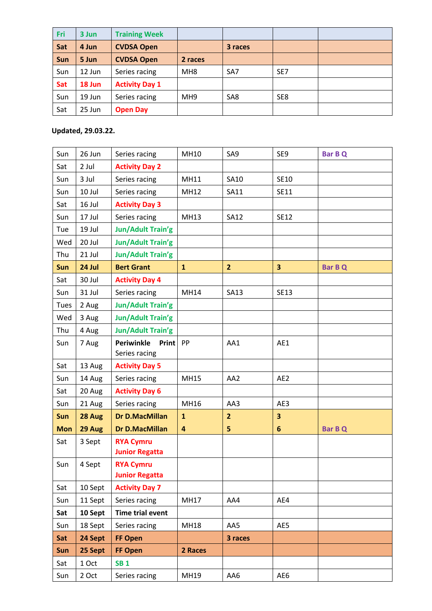| <b>Fri</b> | 3 Jun  | <b>Training Week</b>  |                 |                 |                 |  |
|------------|--------|-----------------------|-----------------|-----------------|-----------------|--|
| Sat        | 4 Jun  | <b>CVDSA Open</b>     |                 | 3 races         |                 |  |
| <b>Sun</b> | 5 Jun  | <b>CVDSA Open</b>     | 2 races         |                 |                 |  |
| Sun        | 12 Jun | Series racing         | MH <sub>8</sub> | SA <sub>7</sub> | SE <sub>7</sub> |  |
| Sat        | 18 Jun | <b>Activity Day 1</b> |                 |                 |                 |  |
| Sun        | 19 Jun | Series racing         | MH <sub>9</sub> | SA8             | SE8             |  |
| Sat        | 25 Jun | <b>Open Day</b>       |                 |                 |                 |  |

## **Updated, 29.03.22.**

| Sun        | 26 Jun  | Series racing              | MH10                    | SA9            | SE9                     | <b>Bar B Q</b> |
|------------|---------|----------------------------|-------------------------|----------------|-------------------------|----------------|
| Sat        | 2 Jul   | <b>Activity Day 2</b>      |                         |                |                         |                |
| Sun        | 3 Jul   | Series racing              | <b>MH11</b>             | SA10           | SE10                    |                |
| Sun        | 10 Jul  | Series racing              | MH12                    | SA11           | SE11                    |                |
| Sat        | 16 Jul  | <b>Activity Day 3</b>      |                         |                |                         |                |
| Sun        | 17 Jul  | Series racing              | MH13                    | <b>SA12</b>    | <b>SE12</b>             |                |
| Tue        | 19 Jul  | <b>Jun/Adult Train'g</b>   |                         |                |                         |                |
| Wed        | 20 Jul  | <b>Jun/Adult Train'g</b>   |                         |                |                         |                |
| Thu        | 21 Jul  | Jun/Adult Train'g          |                         |                |                         |                |
| Sun        | 24 Jul  | <b>Bert Grant</b>          | $\mathbf{1}$            | $\overline{2}$ | $\overline{\mathbf{3}}$ | <b>Bar B Q</b> |
| Sat        | 30 Jul  | <b>Activity Day 4</b>      |                         |                |                         |                |
| Sun        | 31 Jul  | Series racing              | MH14                    | <b>SA13</b>    | <b>SE13</b>             |                |
| Tues       | 2 Aug   | Jun/Adult Train'g          |                         |                |                         |                |
| Wed        | 3 Aug   | Jun/Adult Train'g          |                         |                |                         |                |
| Thu        | 4 Aug   | Jun/Adult Train'g          |                         |                |                         |                |
| Sun        | 7 Aug   | Print<br><b>Periwinkle</b> | PP                      | AA1            | AE1                     |                |
|            |         | Series racing              |                         |                |                         |                |
| Sat        | 13 Aug  | <b>Activity Day 5</b>      |                         |                |                         |                |
| Sun        | 14 Aug  | Series racing              | <b>MH15</b>             | AA2            | AE <sub>2</sub>         |                |
| Sat        | 20 Aug  | <b>Activity Day 6</b>      |                         |                |                         |                |
| Sun        | 21 Aug  | Series racing              | MH16                    | AA3            | AE3                     |                |
| Sun        | 28 Aug  | <b>Dr D.MacMillan</b>      | $\mathbf{1}$            | $\overline{2}$ | 3                       |                |
| <b>Mon</b> | 29 Aug  | <b>Dr D.MacMillan</b>      | $\overline{\mathbf{4}}$ | 5 <sup>1</sup> | $6\phantom{1}$          | <b>Bar B Q</b> |
| Sat        | 3 Sept  | <b>RYA Cymru</b>           |                         |                |                         |                |
|            |         | <b>Junior Regatta</b>      |                         |                |                         |                |
| Sun        | 4 Sept  | <b>RYA Cymru</b>           |                         |                |                         |                |
|            |         | <b>Junior Regatta</b>      |                         |                |                         |                |
| Sat        | 10 Sept | <b>Activity Day 7</b>      |                         |                |                         |                |
| Sun        | 11 Sept | Series racing              | <b>MH17</b>             | AA4            | AE4                     |                |
| Sat        | 10 Sept | Time trial event           |                         |                |                         |                |
| Sun        | 18 Sept | Series racing              | <b>MH18</b>             | AA5            | AE5                     |                |
| Sat        | 24 Sept | FF Open                    |                         | 3 races        |                         |                |
| Sun        | 25 Sept | FF Open                    | 2 Races                 |                |                         |                |
| Sat        | 1 Oct   | <b>SB1</b>                 |                         |                |                         |                |
| Sun        | 2 Oct   | Series racing              | MH19                    | AA6            | AE6                     |                |